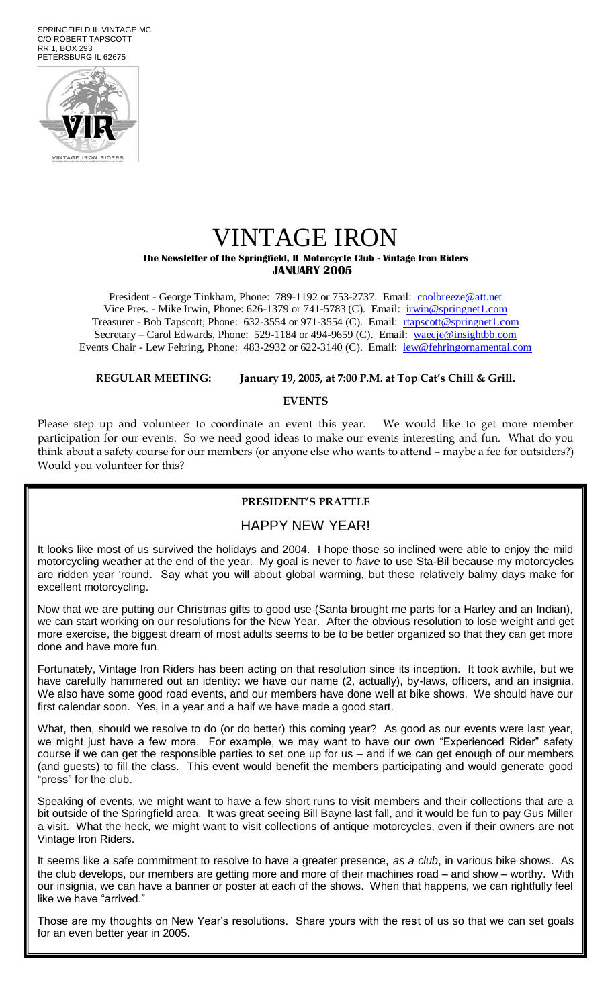SPRINGFIELD IL VINTAGE MC C/O ROBERT TAPSCOTT RR 1, BOX 293 PETERSBURG IL 62675



## VINTAGE IRON **The Newsletter of the Springfield, IL Motorcycle Club - Vintage Iron Riders JANUARY 2005**

President - George Tinkham, Phone: 789-1192 or 753-2737. Email: [coolbreeze@att.net](mailto:coolbreeze@att.net) Vice Pres. - Mike Irwin, Phone: 626-1379 or 741-5783 (C). Email: irwin@springnet1.com Treasurer - Bob Tapscott, Phone: 632-3554 or 971-3554 (C). Email: [rtapscott@springnet1.com](mailto:rtapscott@springnet1.com) Secretary – Carol Edwards, Phone: 529-1184 or 494-9659 (C). Email: waecje@insightbb.com Events Chair - Lew Fehring, Phone: 483-2932 or 622-3140 (C). Email: lew@fehringornamental.com

#### **REGULAR MEETING: January 19, 2005, at 7:00 P.M. at Top Cat's Chill & Grill.**

#### **EVENTS**

Please step up and volunteer to coordinate an event this year. We would like to get more member participation for our events. So we need good ideas to make our events interesting and fun. What do you think about a safety course for our members (or anyone else who wants to attend – maybe a fee for outsiders?) Would you volunteer for this?

#### **PRESIDENT'S PRATTLE**

### HAPPY NEW YEAR!

It looks like most of us survived the holidays and 2004. I hope those so inclined were able to enjoy the mild motorcycling weather at the end of the year. My goal is never to *have* to use Sta-Bil because my motorcycles are ridden year 'round. Say what you will about global warming, but these relatively balmy days make for excellent motorcycling.

Now that we are putting our Christmas gifts to good use (Santa brought me parts for a Harley and an Indian), we can start working on our resolutions for the New Year. After the obvious resolution to lose weight and get more exercise, the biggest dream of most adults seems to be to be better organized so that they can get more done and have more fun.

Fortunately, Vintage Iron Riders has been acting on that resolution since its inception. It took awhile, but we have carefully hammered out an identity: we have our name (2, actually), by-laws, officers, and an insignia. We also have some good road events, and our members have done well at bike shows. We should have our first calendar soon. Yes, in a year and a half we have made a good start.

What, then, should we resolve to do (or do better) this coming year? As good as our events were last year, we might just have a few more. For example, we may want to have our own "Experienced Rider" safety course if we can get the responsible parties to set one up for us – and if we can get enough of our members (and guests) to fill the class. This event would benefit the members participating and would generate good 'press" for the club.

Speaking of events, we might want to have a few short runs to visit members and their collections that are a bit outside of the Springfield area. It was great seeing Bill Bayne last fall, and it would be fun to pay Gus Miller a visit. What the heck, we might want to visit collections of antique motorcycles, even if their owners are not Vintage Iron Riders.

It seems like a safe commitment to resolve to have a greater presence, *as a club*, in various bike shows. As the club develops, our members are getting more and more of their machines road – and show – worthy. With our insignia, we can have a banner or poster at each of the shows. When that happens, we can rightfully feel like we have "arrived."

Those are my thoughts on New Year's resolutions. Share yours with the rest of us so that we can set goals for an even better year in 2005.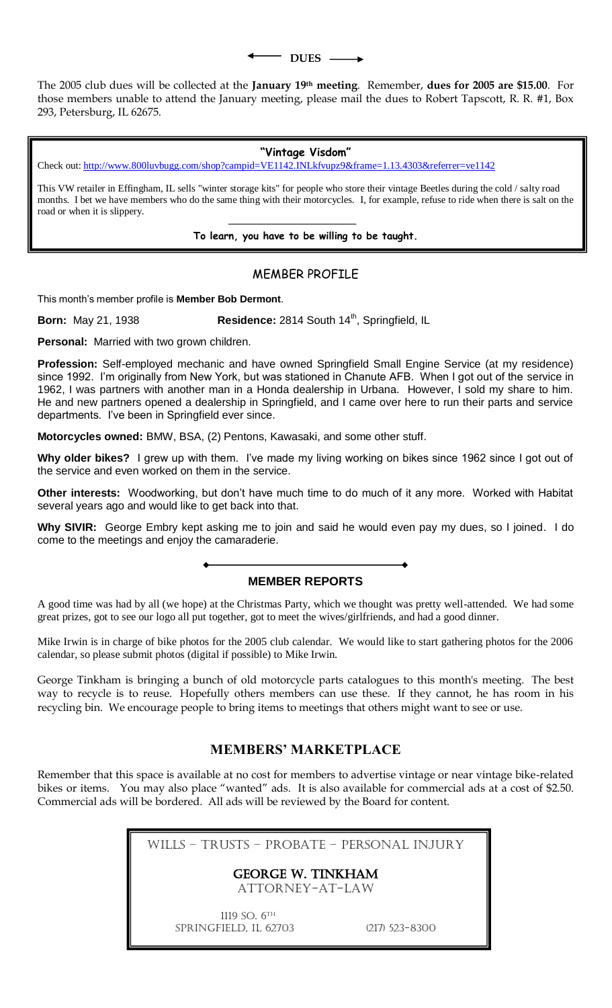**DUES** 

The 2005 club dues will be collected at the **January 19th meeting**. Remember, **dues for 2005 are \$15.00**. For those members unable to attend the January meeting, please mail the dues to Robert Tapscott, R. R. #1, Box 293, Petersburg, IL 62675.

**"Vintage Visdom"**

Check out[: http://www.800luvbugg.com/shop?campid=VE1142.INLkfvupz9&frame=1.13.4303&referrer=ve1142](http://www.800luvbugg.com/shop?campid=VE1142.INLkfvupz9&frame=1.13.4303&referrer=ve1142)

This VW retailer in Effingham, IL sells "winter storage kits" for people who store their vintage Beetles during the cold / salty road months. I bet we have members who do the same thing with their motorcycles. I, for example, refuse to ride when there is salt on the road or when it is slippery.

**To learn, you have to be willing to be taught.**

### MEMBER PROFILE

This month's member profile is **Member Bob Dermont**.

**Born:** May 21, 1938 **Residence:** 2814 South 14<sup>th</sup>, Springfield, IL

**Personal:** Married with two grown children.

**Profession:** Self-employed mechanic and have owned Springfield Small Engine Service (at my residence) since 1992. I'm originally from New York, but was stationed in Chanute AFB. When I got out of the service in 1962, I was partners with another man in a Honda dealership in Urbana. However, I sold my share to him. He and new partners opened a dealership in Springfield, and I came over here to run their parts and service departments. I've been in Springfield ever since.

**Motorcycles owned:** BMW, BSA, (2) Pentons, Kawasaki, and some other stuff.

**Why older bikes?** I grew up with them. I've made my living working on bikes since 1962 since I got out of the service and even worked on them in the service.

**Other interests:** Woodworking, but don't have much time to do much of it any more. Worked with Habitat several years ago and would like to get back into that.

**Why SIVIR:** George Embry kept asking me to join and said he would even pay my dues, so I joined. I do come to the meetings and enjoy the camaraderie.

## **MEMBER REPORTS**

A good time was had by all (we hope) at the Christmas Party, which we thought was pretty well-attended. We had some great prizes, got to see our logo all put together, got to meet the wives/girlfriends, and had a good dinner.

Mike Irwin is in charge of bike photos for the 2005 club calendar. We would like to start gathering photos for the 2006 calendar, so please submit photos (digital if possible) to Mike Irwin.

George Tinkham is bringing a bunch of old motorcycle parts catalogues to this month's meeting. The best way to recycle is to reuse. Hopefully others members can use these. If they cannot, he has room in his recycling bin. We encourage people to bring items to meetings that others might want to see or use.

## **MEMBERS' MARKETPLACE**

Remember that this space is available at no cost for members to advertise vintage or near vintage bike-related bikes or items. You may also place "wanted" ads. It is also available for commercial ads at a cost of \$2.50. Commercial ads will be bordered. All ads will be reviewed by the Board for content.

Wills – Trusts – Probate – Personal Injury

## GEORGE W. TINKHAM

Attorney-at-law

1119 SO. 6TH Springfield, IL 62703 (217) 523-8300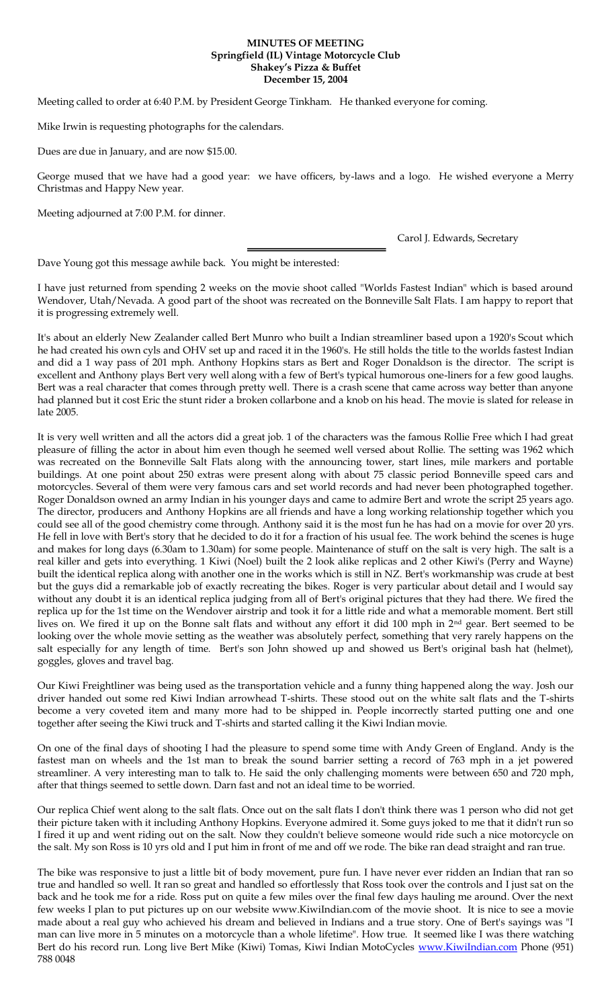#### **MINUTES OF MEETING Springfield (IL) Vintage Motorcycle Club Shakey's Pizza & Buffet December 15, 2004**

Meeting called to order at 6:40 P.M. by President George Tinkham. He thanked everyone for coming.

Mike Irwin is requesting photographs for the calendars.

Dues are due in January, and are now \$15.00.

George mused that we have had a good year: we have officers, by-laws and a logo. He wished everyone a Merry Christmas and Happy New year.

Meeting adjourned at 7:00 P.M. for dinner.

Carol J. Edwards, Secretary

Dave Young got this message awhile back. You might be interested:

I have just returned from spending 2 weeks on the movie shoot called "Worlds Fastest Indian" which is based around Wendover, Utah/Nevada. A good part of the shoot was recreated on the Bonneville Salt Flats. I am happy to report that it is progressing extremely well.

It's about an elderly New Zealander called Bert Munro who built a Indian streamliner based upon a 1920's Scout which he had created his own cyls and OHV set up and raced it in the 1960's. He still holds the title to the worlds fastest Indian and did a 1 way pass of 201 mph. Anthony Hopkins stars as Bert and Roger Donaldson is the director. The script is excellent and Anthony plays Bert very well along with a few of Bert's typical humorous one-liners for a few good laughs. Bert was a real character that comes through pretty well. There is a crash scene that came across way better than anyone had planned but it cost Eric the stunt rider a broken collarbone and a knob on his head. The movie is slated for release in late 2005.

It is very well written and all the actors did a great job. 1 of the characters was the famous Rollie Free which I had great pleasure of filling the actor in about him even though he seemed well versed about Rollie. The setting was 1962 which was recreated on the Bonneville Salt Flats along with the announcing tower, start lines, mile markers and portable buildings. At one point about 250 extras were present along with about 75 classic period Bonneville speed cars and motorcycles. Several of them were very famous cars and set world records and had never been photographed together. Roger Donaldson owned an army Indian in his younger days and came to admire Bert and wrote the script 25 years ago. The director, producers and Anthony Hopkins are all friends and have a long working relationship together which you could see all of the good chemistry come through. Anthony said it is the most fun he has had on a movie for over 20 yrs. He fell in love with Bert's story that he decided to do it for a fraction of his usual fee. The work behind the scenes is huge and makes for long days (6.30am to 1.30am) for some people. Maintenance of stuff on the salt is very high. The salt is a real killer and gets into everything. 1 Kiwi (Noel) built the 2 look alike replicas and 2 other Kiwi's (Perry and Wayne) built the identical replica along with another one in the works which is still in NZ. Bert's workmanship was crude at best but the guys did a remarkable job of exactly recreating the bikes. Roger is very particular about detail and I would say without any doubt it is an identical replica judging from all of Bert's original pictures that they had there. We fired the replica up for the 1st time on the Wendover airstrip and took it for a little ride and what a memorable moment. Bert still lives on. We fired it up on the Bonne salt flats and without any effort it did 100 mph in 2nd gear. Bert seemed to be looking over the whole movie setting as the weather was absolutely perfect, something that very rarely happens on the salt especially for any length of time. Bert's son John showed up and showed us Bert's original bash hat (helmet), goggles, gloves and travel bag.

Our Kiwi Freightliner was being used as the transportation vehicle and a funny thing happened along the way. Josh our driver handed out some red Kiwi Indian arrowhead T-shirts. These stood out on the white salt flats and the T-shirts become a very coveted item and many more had to be shipped in. People incorrectly started putting one and one together after seeing the Kiwi truck and T-shirts and started calling it the Kiwi Indian movie.

On one of the final days of shooting I had the pleasure to spend some time with Andy Green of England. Andy is the fastest man on wheels and the 1st man to break the sound barrier setting a record of 763 mph in a jet powered streamliner. A very interesting man to talk to. He said the only challenging moments were between 650 and 720 mph, after that things seemed to settle down. Darn fast and not an ideal time to be worried.

Our replica Chief went along to the salt flats. Once out on the salt flats I don't think there was 1 person who did not get their picture taken with it including Anthony Hopkins. Everyone admired it. Some guys joked to me that it didn't run so I fired it up and went riding out on the salt. Now they couldn't believe someone would ride such a nice motorcycle on the salt. My son Ross is 10 yrs old and I put him in front of me and off we rode. The bike ran dead straight and ran true.

The bike was responsive to just a little bit of body movement, pure fun. I have never ever ridden an Indian that ran so true and handled so well. It ran so great and handled so effortlessly that Ross took over the controls and I just sat on the back and he took me for a ride. Ross put on quite a few miles over the final few days hauling me around. Over the next few weeks I plan to put pictures up on our website www.KiwiIndian.com of the movie shoot. It is nice to see a movie made about a real guy who achieved his dream and believed in Indians and a true story. One of Bert's sayings was "I man can live more in 5 minutes on a motorcycle than a whole lifetime". How true. It seemed like I was there watching Bert do his record run. Long live Bert Mike (Kiwi) Tomas, Kiwi Indian MotoCycles [www.KiwiIndian.com](http://www.kiwiindian.com/) Phone (951) 788 0048